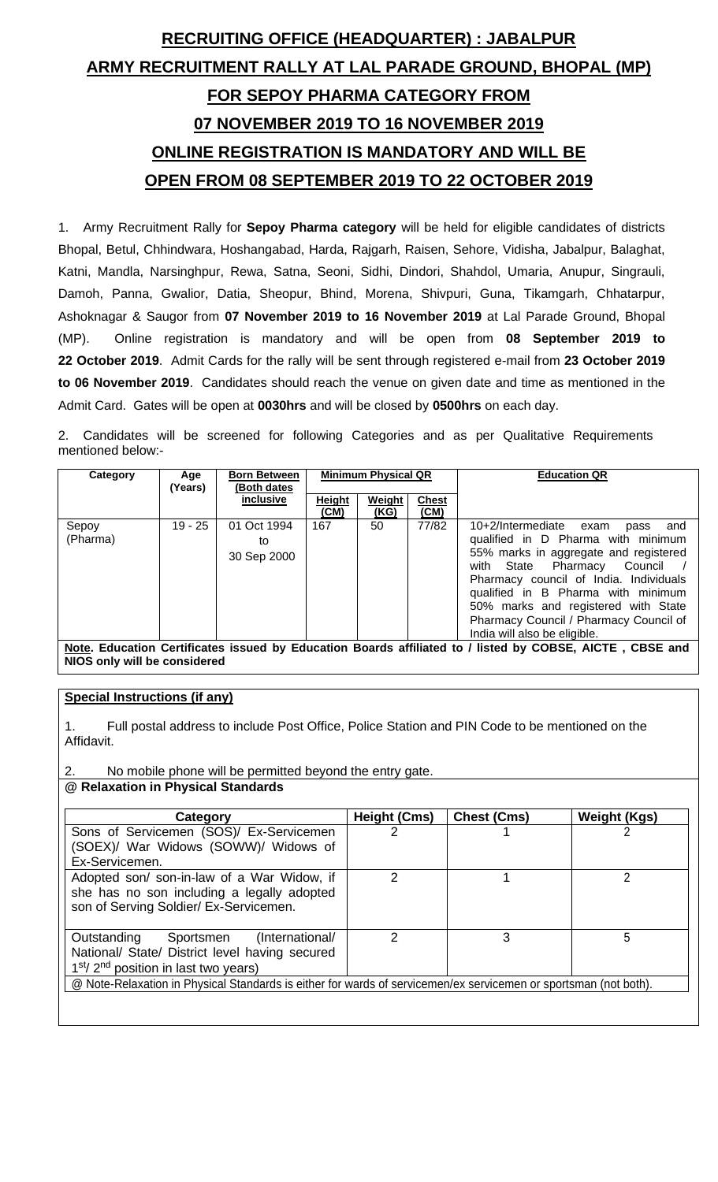# **RECRUITING OFFICE (HEADQUARTER) : JABALPUR ARMY RECRUITMENT RALLY AT LAL PARADE GROUND, BHOPAL (MP) FOR SEPOY PHARMA CATEGORY FROM 07 NOVEMBER 2019 TO 16 NOVEMBER 2019 ONLINE REGISTRATION IS MANDATORY AND WILL BE OPEN FROM 08 SEPTEMBER 2019 TO 22 OCTOBER 2019**

1. Army Recruitment Rally for **Sepoy Pharma category** will be held for eligible candidates of districts Bhopal, Betul, Chhindwara, Hoshangabad, Harda, Rajgarh, Raisen, Sehore, Vidisha, Jabalpur, Balaghat, Katni, Mandla, Narsinghpur, Rewa, Satna, Seoni, Sidhi, Dindori, Shahdol, Umaria, Anupur, Singrauli, Damoh, Panna, Gwalior, Datia, Sheopur, Bhind, Morena, Shivpuri, Guna, Tikamgarh, Chhatarpur, Ashoknagar & Saugor from **07 November 2019 to 16 November 2019** at Lal Parade Ground, Bhopal (MP). Online registration is mandatory and will be open from **08 September 2019 to 22 October 2019**. Admit Cards for the rally will be sent through registered e-mail from **23 October 2019 to 06 November 2019**. Candidates should reach the venue on given date and time as mentioned in the Admit Card. Gates will be open at **0030hrs** and will be closed by **0500hrs** on each day.

2. Candidates will be screened for following Categories and as per Qualitative Requirements mentioned below:-

| Category          | Age<br>(Years) | <b>Born Between</b><br>(Both dates | <b>Minimum Physical QR</b> |                |                      | <b>Education QR</b>                                                                                                                                                                                                                                                                                                                                  |
|-------------------|----------------|------------------------------------|----------------------------|----------------|----------------------|------------------------------------------------------------------------------------------------------------------------------------------------------------------------------------------------------------------------------------------------------------------------------------------------------------------------------------------------------|
|                   |                | inclusive                          | <b>Height</b><br>(CM)      | Weight<br>(KG) | <b>Chest</b><br>(CM) |                                                                                                                                                                                                                                                                                                                                                      |
| Sepoy<br>(Pharma) | $19 - 25$      | 01 Oct 1994<br>to<br>30 Sep 2000   | 167                        | 50             | 77/82                | 10+2/Intermediate exam<br>and<br>pass<br>qualified in D Pharma with minimum<br>55% marks in aggregate and registered<br>with State Pharmacy Council<br>Pharmacy council of India. Individuals<br>qualified in B Pharma with minimum<br>50% marks and registered with State<br>Pharmacy Council / Pharmacy Council of<br>India will also be eligible. |
|                   |                |                                    |                            |                |                      | Note. Education Certificates issued by Education Boards affiliated to / listed by COBSE, AICTE, CBSE and                                                                                                                                                                                                                                             |

**NIOS only will be considered**

# **Special Instructions (if any)**

1. Full postal address to include Post Office, Police Station and PIN Code to be mentioned on the Affidavit.

2. No mobile phone will be permitted beyond the entry gate.

**@ Relaxation in Physical Standards** 

| Category                                                                                                                                                             | Height (Cms) | <b>Chest (Cms)</b> | <b>Weight (Kgs)</b> |  |  |  |
|----------------------------------------------------------------------------------------------------------------------------------------------------------------------|--------------|--------------------|---------------------|--|--|--|
| Sons of Servicemen (SOS)/ Ex-Servicemen                                                                                                                              |              |                    |                     |  |  |  |
| (SOEX)/ War Widows (SOWW)/ Widows of                                                                                                                                 |              |                    |                     |  |  |  |
| Ex-Servicemen.                                                                                                                                                       |              |                    |                     |  |  |  |
| Adopted son/ son-in-law of a War Widow, if<br>she has no son including a legally adopted<br>son of Serving Soldier/ Ex-Servicemen.                                   | 2            |                    | າ                   |  |  |  |
| З<br>5<br>Sportsmen (International/<br>Outstanding<br>National/ State/ District level having secured<br>1 <sup>st</sup> /2 <sup>nd</sup> position in last two years) |              |                    |                     |  |  |  |
| @ Note-Relaxation in Physical Standards is either for wards of servicemen/ex servicemen or sportsman (not both).                                                     |              |                    |                     |  |  |  |
|                                                                                                                                                                      |              |                    |                     |  |  |  |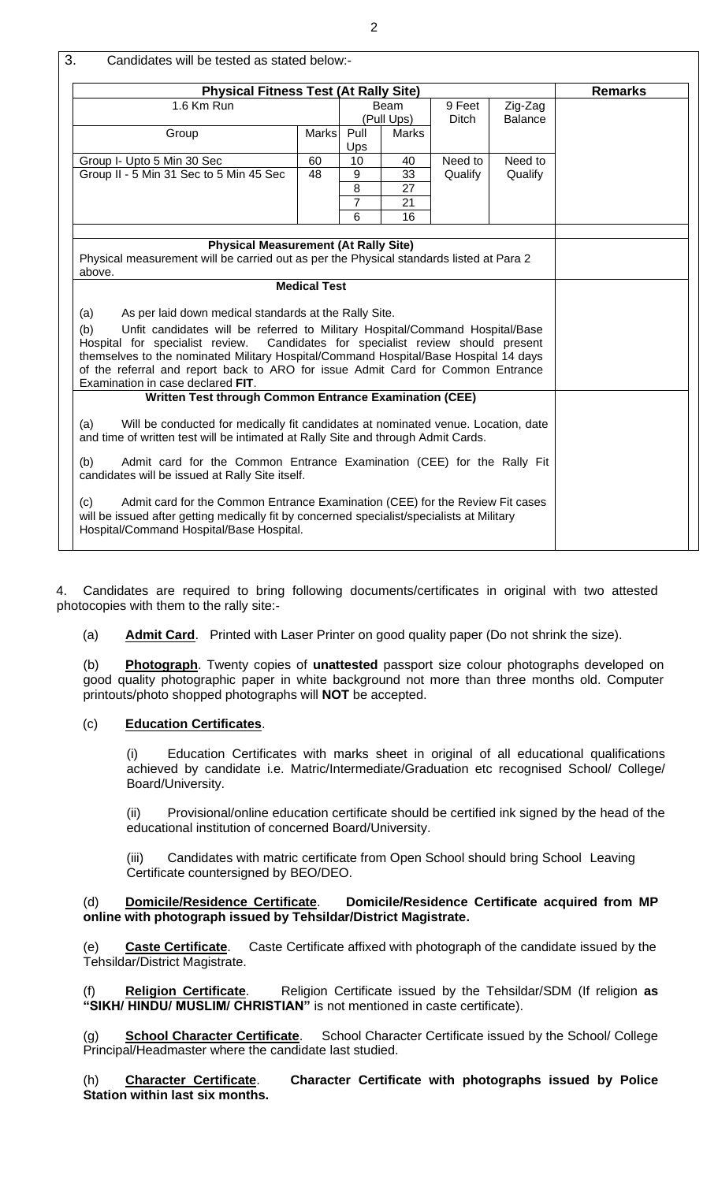| <b>Physical Fitness Test (At Rally Site)</b><br><b>Remarks</b>                                                                                                                                                                                                                                                                                                                                                                                            |              |                                           |                            |                    |                    |  |
|-----------------------------------------------------------------------------------------------------------------------------------------------------------------------------------------------------------------------------------------------------------------------------------------------------------------------------------------------------------------------------------------------------------------------------------------------------------|--------------|-------------------------------------------|----------------------------|--------------------|--------------------|--|
| 1.6 Km Run<br>9 Feet<br>Zig-Zag<br>Beam<br>(Pull Ups)<br><b>Ditch</b><br><b>Balance</b>                                                                                                                                                                                                                                                                                                                                                                   |              |                                           |                            |                    |                    |  |
| Group                                                                                                                                                                                                                                                                                                                                                                                                                                                     | <b>Marks</b> | Pull<br>Ups                               | Marks                      |                    |                    |  |
| Group I- Upto 5 Min 30 Sec<br>Group II - 5 Min 31 Sec to 5 Min 45 Sec                                                                                                                                                                                                                                                                                                                                                                                     | 60<br>48     | 10<br>9<br>$\bf 8$<br>$\overline{7}$<br>6 | 40<br>33<br>27<br>21<br>16 | Need to<br>Qualify | Need to<br>Qualify |  |
| Physical measurement will be carried out as per the Physical standards listed at Para 2<br>above.<br><b>Medical Test</b>                                                                                                                                                                                                                                                                                                                                  |              |                                           |                            |                    |                    |  |
| As per laid down medical standards at the Rally Site.<br>(a)<br>Unfit candidates will be referred to Military Hospital/Command Hospital/Base<br>(b)<br>Candidates for specialist review should present<br>Hospital for specialist review.<br>themselves to the nominated Military Hospital/Command Hospital/Base Hospital 14 days<br>of the referral and report back to ARO for issue Admit Card for Common Entrance<br>Examination in case declared FIT. |              |                                           |                            |                    |                    |  |
| Written Test through Common Entrance Examination (CEE)                                                                                                                                                                                                                                                                                                                                                                                                    |              |                                           |                            |                    |                    |  |
| Will be conducted for medically fit candidates at nominated venue. Location, date<br>(a)<br>and time of written test will be intimated at Rally Site and through Admit Cards.                                                                                                                                                                                                                                                                             |              |                                           |                            |                    |                    |  |
| Admit card for the Common Entrance Examination (CEE) for the Rally Fit<br>(b)<br>candidates will be issued at Rally Site itself.                                                                                                                                                                                                                                                                                                                          |              |                                           |                            |                    |                    |  |
| Admit card for the Common Entrance Examination (CEE) for the Review Fit cases<br>(c)<br>will be issued after getting medically fit by concerned specialist/specialists at Military<br>Hospital/Command Hospital/Base Hospital.                                                                                                                                                                                                                            |              |                                           |                            |                    |                    |  |

4. Candidates are required to bring following documents/certificates in original with two attested photocopies with them to the rally site:-

(a) **Admit Card**. Printed with Laser Printer on good quality paper (Do not shrink the size).

(b) **Photograph**. Twenty copies of **unattested** passport size colour photographs developed on good quality photographic paper in white background not more than three months old. Computer printouts/photo shopped photographs will **NOT** be accepted.

# (c) **Education Certificates**.

(i) Education Certificates with marks sheet in original of all educational qualifications achieved by candidate i.e. Matric/Intermediate/Graduation etc recognised School/ College/ Board/University.

(ii) Provisional/online education certificate should be certified ink signed by the head of the educational institution of concerned Board/University.

(iii) Candidates with matric certificate from Open School should bring School Leaving Certificate countersigned by BEO/DEO.

#### (d) **Domicile/Residence Certificate**. **Domicile/Residence Certificate acquired from MP online with photograph issued by Tehsildar/District Magistrate.**

(e) **Caste Certificate**. Caste Certificate affixed with photograph of the candidate issued by the Tehsildar/District Magistrate.

Religion Certificate. Religion Certificate issued by the Tehsildar/SDM (If religion as **"SIKH/ HINDU/ MUSLIM/ CHRISTIAN"** is not mentioned in caste certificate).

(g) **School Character Certificate**. School Character Certificate issued by the School/ College Principal/Headmaster where the candidate last studied.

(h) **Character Certificate**. **Character Certificate with photographs issued by Police Station within last six months.**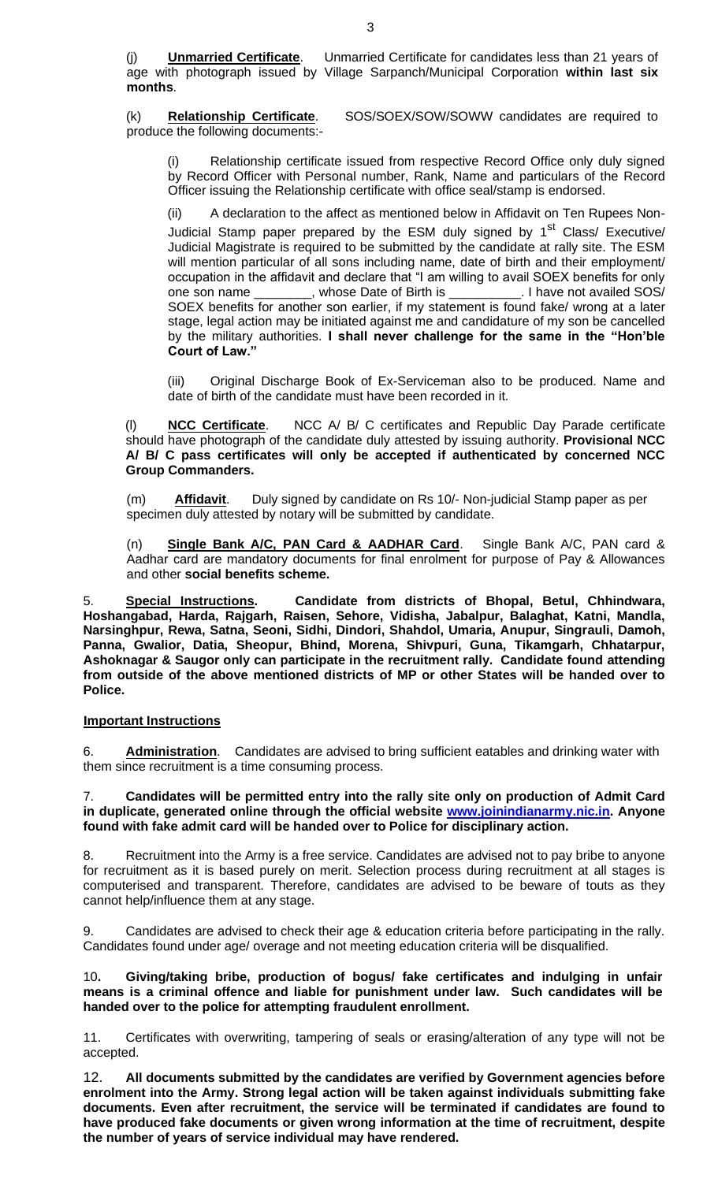(j) **Unmarried Certificate**. Unmarried Certificate for candidates less than 21 years of age with photograph issued by Village Sarpanch/Municipal Corporation **within last six months**.

(k) **Relationship Certificate**. SOS/SOEX/SOW/SOWW candidates are required to produce the following documents:-

Relationship certificate issued from respective Record Office only duly signed by Record Officer with Personal number, Rank, Name and particulars of the Record Officer issuing the Relationship certificate with office seal/stamp is endorsed.

(ii) A declaration to the affect as mentioned below in Affidavit on Ten Rupees Non-Judicial Stamp paper prepared by the ESM duly signed by 1<sup>st</sup> Class/ Executive/ Judicial Magistrate is required to be submitted by the candidate at rally site. The ESM will mention particular of all sons including name, date of birth and their employment/ occupation in the affidavit and declare that "I am willing to avail SOEX benefits for only one son name \_\_\_\_\_\_\_\_, whose Date of Birth is \_\_\_\_\_\_\_\_\_\_. I have not availed SOS/ one son name \_\_\_\_\_\_\_\_, whose Date of Birth is \_\_ SOEX benefits for another son earlier, if my statement is found fake/ wrong at a later stage, legal action may be initiated against me and candidature of my son be cancelled by the military authorities. **I shall never challenge for the same in the "Hon'ble Court of Law."**

(iii) Original Discharge Book of Ex-Serviceman also to be produced. Name and date of birth of the candidate must have been recorded in it.

**NCC Certificate.** NCC A/ B/ C certificates and Republic Day Parade certificate should have photograph of the candidate duly attested by issuing authority. **Provisional NCC A/ B/ C pass certificates will only be accepted if authenticated by concerned NCC Group Commanders.**

 (m) **Affidavit**. Duly signed by candidate on Rs 10/- Non-judicial Stamp paper as per specimen duly attested by notary will be submitted by candidate.

(n) **Single Bank A/C, PAN Card & AADHAR Card**. Single Bank A/C, PAN card & Aadhar card are mandatory documents for final enrolment for purpose of Pay & Allowances and other **social benefits scheme.**

5. **Special Instructions. Candidate from districts of Bhopal, Betul, Chhindwara, Hoshangabad, Harda, Rajgarh, Raisen, Sehore, Vidisha, Jabalpur, Balaghat, Katni, Mandla, Narsinghpur, Rewa, Satna, Seoni, Sidhi, Dindori, Shahdol, Umaria, Anupur, Singrauli, Damoh, Panna, Gwalior, Datia, Sheopur, Bhind, Morena, Shivpuri, Guna, Tikamgarh, Chhatarpur, Ashoknagar & Saugor only can participate in the recruitment rally. Candidate found attending from outside of the above mentioned districts of MP or other States will be handed over to Police.**

# **Important Instructions**

6. **Administration**. Candidates are advised to bring sufficient eatables and drinking water with them since recruitment is a time consuming process.

#### 7. **Candidates will be permitted entry into the rally site only on production of Admit Card in duplicate, generated online through the official website [www.joinindianarmy.nic.in.](http://www.joinindianarmy.nic.in/) Anyone found with fake admit card will be handed over to Police for disciplinary action.**

8. Recruitment into the Army is a free service. Candidates are advised not to pay bribe to anyone for recruitment as it is based purely on merit. Selection process during recruitment at all stages is computerised and transparent. Therefore, candidates are advised to be beware of touts as they cannot help/influence them at any stage.

9. Candidates are advised to check their age & education criteria before participating in the rally. Candidates found under age/ overage and not meeting education criteria will be disqualified.

### 10**. Giving/taking bribe, production of bogus/ fake certificates and indulging in unfair means is a criminal offence and liable for punishment under law. Such candidates will be handed over to the police for attempting fraudulent enrollment.**

11. Certificates with overwriting, tampering of seals or erasing/alteration of any type will not be accepted.

12. **All documents submitted by the candidates are verified by Government agencies before enrolment into the Army. Strong legal action will be taken against individuals submitting fake documents. Even after recruitment, the service will be terminated if candidates are found to have produced fake documents or given wrong information at the time of recruitment, despite the number of years of service individual may have rendered.**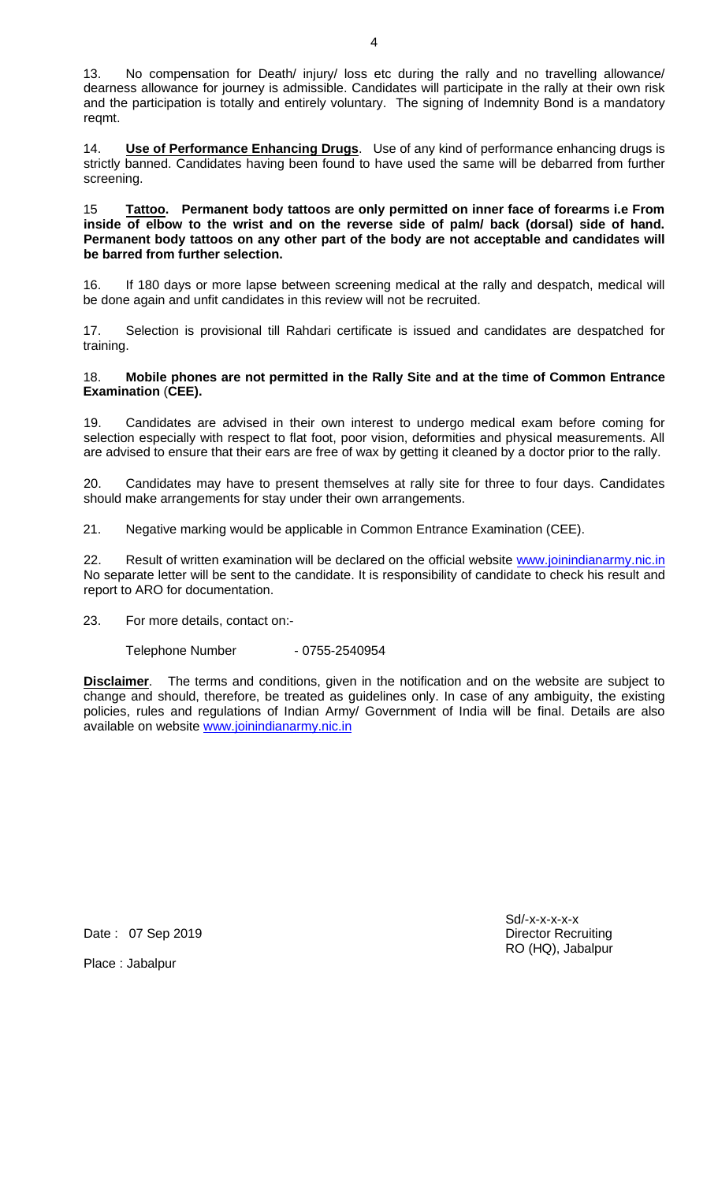13. No compensation for Death/ injury/ loss etc during the rally and no travelling allowance/ dearness allowance for journey is admissible. Candidates will participate in the rally at their own risk and the participation is totally and entirely voluntary. The signing of Indemnity Bond is a mandatory reqmt.

14. **Use of Performance Enhancing Drugs**. Use of any kind of performance enhancing drugs is strictly banned. Candidates having been found to have used the same will be debarred from further screening.

#### 15 **Tattoo. Permanent body tattoos are only permitted on inner face of forearms i.e From inside of elbow to the wrist and on the reverse side of palm/ back (dorsal) side of hand. Permanent body tattoos on any other part of the body are not acceptable and candidates will be barred from further selection.**

16. If 180 days or more lapse between screening medical at the rally and despatch, medical will be done again and unfit candidates in this review will not be recruited.

17. Selection is provisional till Rahdari certificate is issued and candidates are despatched for training.

### 18. **Mobile phones are not permitted in the Rally Site and at the time of Common Entrance Examination** (**CEE).**

19. Candidates are advised in their own interest to undergo medical exam before coming for selection especially with respect to flat foot, poor vision, deformities and physical measurements. All are advised to ensure that their ears are free of wax by getting it cleaned by a doctor prior to the rally.

20. Candidates may have to present themselves at rally site for three to four days. Candidates should make arrangements for stay under their own arrangements.

21. Negative marking would be applicable in Common Entrance Examination (CEE).

22. Result of written examination will be declared on the official website [www.joinindianarmy.nic.in](http://www.joinindianarmy.nic.in/) No separate letter will be sent to the candidate. It is responsibility of candidate to check his result and report to ARO for documentation.

23. For more details, contact on:-

Telephone Number - 0755-2540954

**Disclaimer**. The terms and conditions, given in the notification and on the website are subject to change and should, therefore, be treated as guidelines only. In case of any ambiguity, the existing policies, rules and regulations of Indian Army/ Government of India will be final. Details are also available on website [www.joinindianarmy.nic.in](http://www.joinindianarmy.nic.in/)

Date : 07 Sep 2019 **Director Recruiting** 

Place : Jabalpur

Sd/-x-x-x-x-x RO (HQ), Jabalpur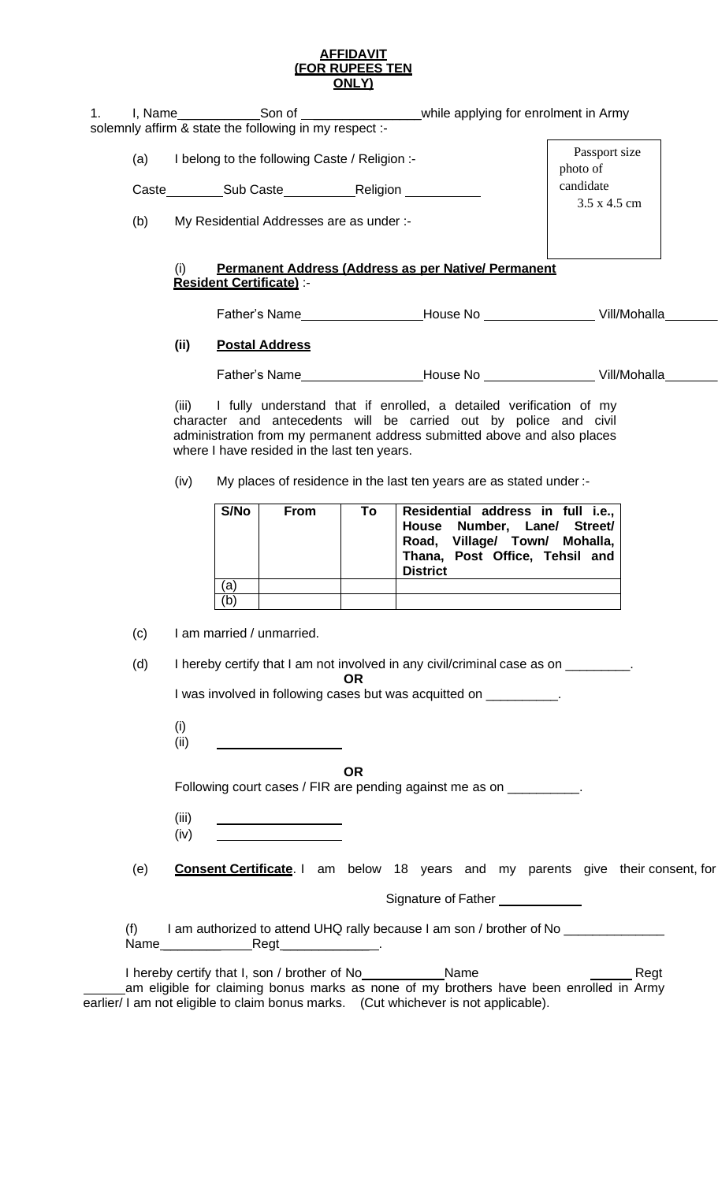#### **AFFIDAVIT (FOR RUPEES TEN ONLY)**

| I. Name | Son of                                                 | while applying for enrolment in Army |
|---------|--------------------------------------------------------|--------------------------------------|
|         | solemnly affirm & state the following in my respect :- |                                      |

(a) I belong to the following Caste / Religion :-

Caste Sub Caste Religion

Passport size photo of candidate 3.5 x 4.5 cm

(b) My Residential Addresses are as under :-

# (i) **Permanent Address (Address as per Native/ Permanent Resident Certificate)** :-

Father's Name House No Vill/Mohalla Tehsil Dist State PIN Code

# **(ii) Postal Address**

Father's Name
European Manuel House No Communication Code Vill/Mohalla

(iii) I fully understand that if enrolled, a detailed verification of my character and antecedents will be carried out by police and civil administration from my permanent address submitted above and also places where I have resided in the last ten years.

(iv) My places of residence in the last ten years are as stated under :-

| S/No | <b>From</b> | To | Residential address in full i.e.,<br>House Number, Lane/ Street/<br>Road, Village/ Town/ Mohalla,<br>Thana, Post Office, Tehsil and<br><b>District</b> |
|------|-------------|----|--------------------------------------------------------------------------------------------------------------------------------------------------------|
| ʻa   |             |    |                                                                                                                                                        |
| 'b   |             |    |                                                                                                                                                        |

(c) I am married / unmarried.

(d) I hereby certify that I am not involved in any civil/criminal case as on \_\_\_\_\_\_\_\_. **OR**

| I was involved in following cases but was acquitted on |  |
|--------------------------------------------------------|--|
|                                                        |  |

| (i)  |  |
|------|--|
| (ii) |  |

**OR**

Following court cases / FIR are pending against me as on \_\_\_\_\_\_\_\_\_\_.

- (iii) (iv)
- (e) **Consent Certificate**. I am below 18 years and my parents give their consent, for

Signature of Father \_\_\_\_\_\_\_\_\_

(f) I am authorized to attend UHQ rally because I am son / brother of No \_\_\_\_\_\_\_\_ Name \_\_\_\_\_\_\_\_ Regt \_\_\_\_\_\_\_\_\_\_\_\_ .

| I hereby certify that I, son / brother of No                                        | Name                                                                                   | Regt |
|-------------------------------------------------------------------------------------|----------------------------------------------------------------------------------------|------|
|                                                                                     | am eligible for claiming bonus marks as none of my brothers have been enrolled in Army |      |
| earlier/ I am not eligible to claim bonus marks. (Cut whichever is not applicable). |                                                                                        |      |